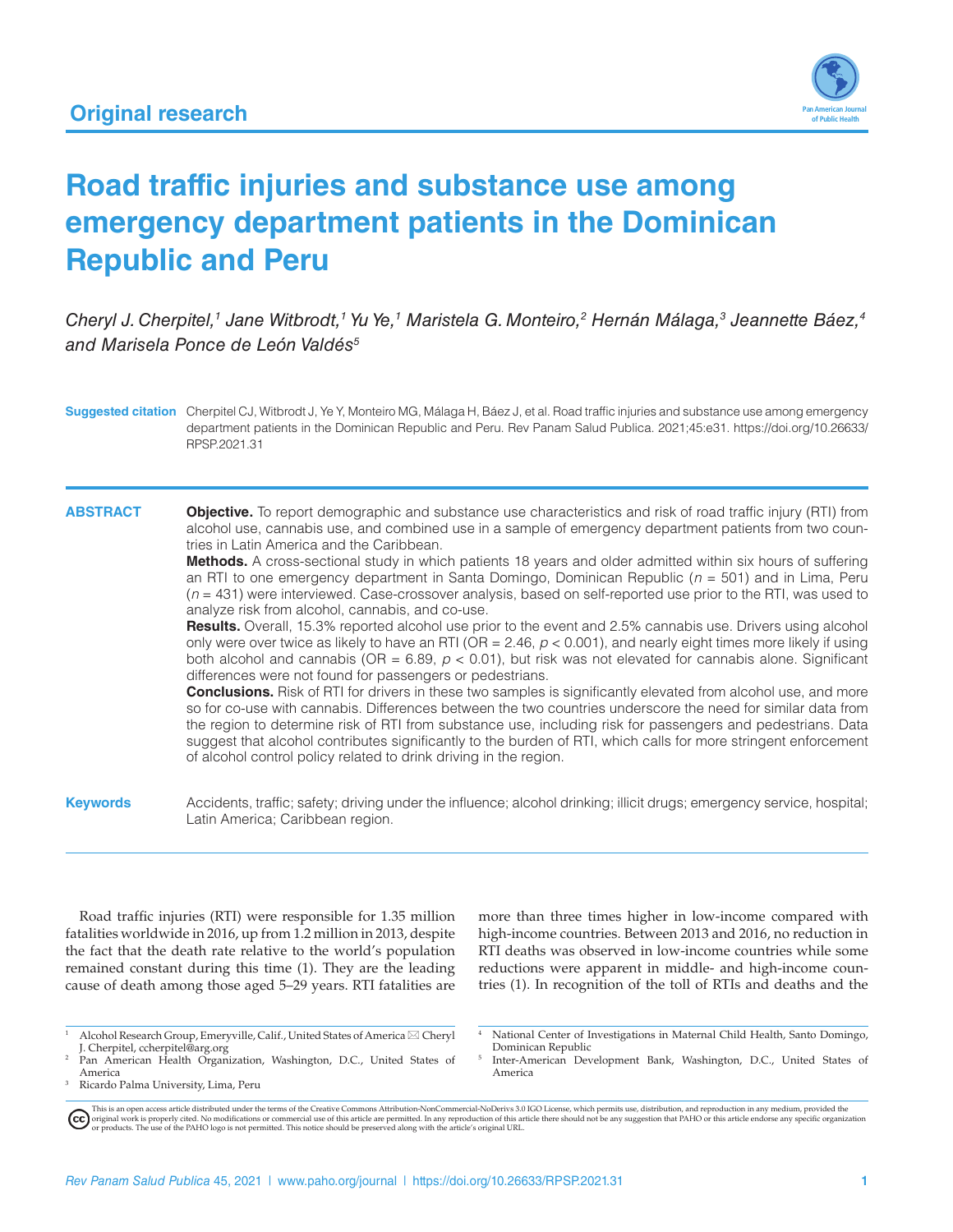

# **Road traffic injuries and substance use among emergency department patients in the Dominican Republic and Peru**

Cheryl J. Cherpitel,<sup>1</sup> Jane Witbrodt,<sup>1</sup> Yu Ye,<sup>1</sup> Maristela G. Monteiro,<sup>2</sup> Hernán Málaga,<sup>3</sup> Jeannette Báez,<sup>4</sup> *and Marisela Ponce de León Valdés5*

**Suggested citation** Cherpitel CJ, Witbrodt J, Ye Y, Monteiro MG, Málaga H, Báez J, et al. Road traffic injuries and substance use among emergency department patients in the Dominican Republic and Peru. Rev Panam Salud Publica. 2021;45:e31. [https://doi.org/10.26633/](https://doi.org/10.26633/RPSP.2021.31) [RPSP.2021.31](https://doi.org/10.26633/RPSP.2021.31)

**ABSTRACT Objective.** To report demographic and substance use characteristics and risk of road traffic injury (RTI) from alcohol use, cannabis use, and combined use in a sample of emergency department patients from two countries in Latin America and the Caribbean.

> **Methods.** A cross-sectional study in which patients 18 years and older admitted within six hours of suffering an RTI to one emergency department in Santa Domingo, Dominican Republic (*n* = 501) and in Lima, Peru (*n* = 431) were interviewed. Case-crossover analysis, based on self-reported use prior to the RTI, was used to analyze risk from alcohol, cannabis, and co-use.

> **Results.** Overall, 15.3% reported alcohol use prior to the event and 2.5% cannabis use. Drivers using alcohol only were over twice as likely to have an RTI (OR = 2.46,  $p < 0.001$ ), and nearly eight times more likely if using both alcohol and cannabis (OR = 6.89, *p* < 0.01), but risk was not elevated for cannabis alone. Significant differences were not found for passengers or pedestrians.

> **Conclusions.** Risk of RTI for drivers in these two samples is significantly elevated from alcohol use, and more so for co-use with cannabis. Differences between the two countries underscore the need for similar data from the region to determine risk of RTI from substance use, including risk for passengers and pedestrians. Data suggest that alcohol contributes significantly to the burden of RTI, which calls for more stringent enforcement of alcohol control policy related to drink driving in the region.

**Keywords** Accidents, traffic; safety; driving under the influence; alcohol drinking; illicit drugs; emergency service, hospital; Latin America; Caribbean region.

Road traffic injuries (RTI) were responsible for 1.35 million fatalities worldwide in 2016, up from 1.2 million in 2013, despite the fact that the death rate relative to the world's population remained constant during this time (1). They are the leading cause of death among those aged 5–29 years. RTI fatalities are

Alcohol Research Group, Emeryville, Calif., United States of America  $\boxtimes$  Cheryl

J. Cherpitel, [ccherpitel@arg.org](mailto:ccherpitel@arg.org) <sup>2</sup> Pan American Health Organization, Washington, D.C., United States of America

more than three times higher in low-income compared with high-income countries. Between 2013 and 2016, no reduction in RTI deaths was observed in low-income countries while some reductions were apparent in middle- and high-income countries (1). In recognition of the toll of RTIs and deaths and the

<sup>4</sup> National Center of Investigations in Maternal Child Health, Santo Domingo, Dominican Republic

Inter-American Development Bank, Washington, D.C., United States of America

This is an open access article distributed under the terms of the [Creative Commons Attribution-NonCommercial-NoDerivs 3.0 IGO](https://creativecommons.org/licenses/by-nc-nd/3.0/igo/legalcode) License, which permits use, distribution, and reproduction in any medium, provided the<br>orignal w

Ricardo Palma University, Lima, Peru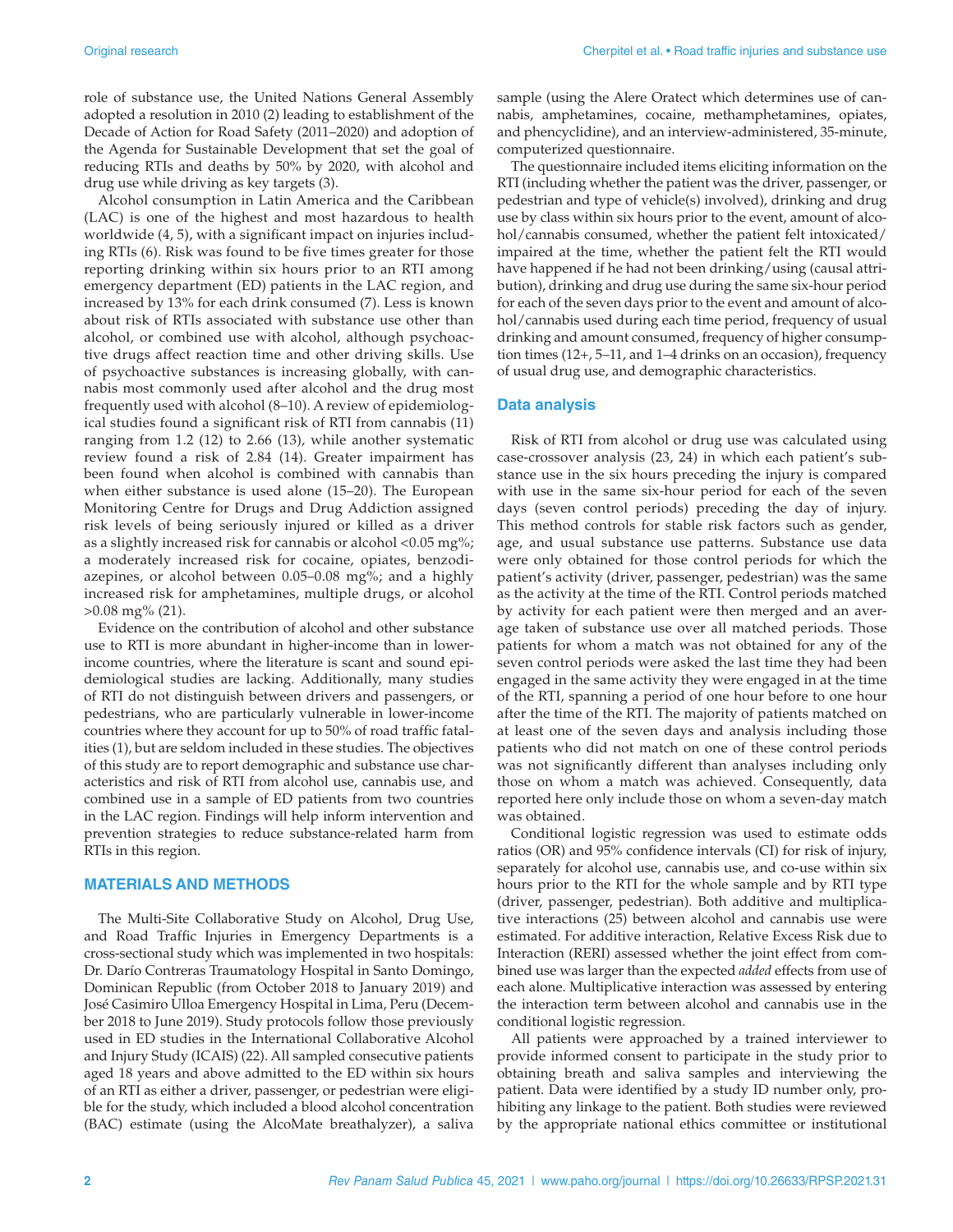role of substance use, the United Nations General Assembly adopted a resolution in 2010 (2) leading to establishment of the Decade of Action for Road Safety (2011–2020) and adoption of the Agenda for Sustainable Development that set the goal of reducing RTIs and deaths by 50% by 2020, with alcohol and drug use while driving as key targets (3).

Alcohol consumption in Latin America and the Caribbean (LAC) is one of the highest and most hazardous to health worldwide (4, 5), with a significant impact on injuries including RTIs (6). Risk was found to be five times greater for those reporting drinking within six hours prior to an RTI among emergency department (ED) patients in the LAC region, and increased by 13% for each drink consumed (7). Less is known about risk of RTIs associated with substance use other than alcohol, or combined use with alcohol, although psychoactive drugs affect reaction time and other driving skills. Use of psychoactive substances is increasing globally, with cannabis most commonly used after alcohol and the drug most frequently used with alcohol (8–10). A review of epidemiological studies found a significant risk of RTI from cannabis (11) ranging from 1.2 (12) to 2.66 (13), while another systematic review found a risk of 2.84 (14). Greater impairment has been found when alcohol is combined with cannabis than when either substance is used alone (15–20). The European Monitoring Centre for Drugs and Drug Addiction assigned risk levels of being seriously injured or killed as a driver as a slightly increased risk for cannabis or alcohol <0.05 mg%; a moderately increased risk for cocaine, opiates, benzodiazepines, or alcohol between 0.05–0.08 mg%; and a highly increased risk for amphetamines, multiple drugs, or alcohol >0.08 mg% (21).

Evidence on the contribution of alcohol and other substance use to RTI is more abundant in higher-income than in lowerincome countries, where the literature is scant and sound epidemiological studies are lacking. Additionally, many studies of RTI do not distinguish between drivers and passengers, or pedestrians, who are particularly vulnerable in lower-income countries where they account for up to 50% of road traffic fatalities (1), but are seldom included in these studies. The objectives of this study are to report demographic and substance use characteristics and risk of RTI from alcohol use, cannabis use, and combined use in a sample of ED patients from two countries in the LAC region. Findings will help inform intervention and prevention strategies to reduce substance-related harm from RTIs in this region.

### **MATERIALS AND METHODS**

The Multi-Site Collaborative Study on Alcohol, Drug Use, and Road Traffic Injuries in Emergency Departments is a cross-sectional study which was implemented in two hospitals: Dr. Darío Contreras Traumatology Hospital in Santo Domingo, Dominican Republic (from October 2018 to January 2019) and José Casimiro Ulloa Emergency Hospital in Lima, Peru (December 2018 to June 2019). Study protocols follow those previously used in ED studies in the International Collaborative Alcohol and Injury Study (ICAIS) (22). All sampled consecutive patients aged 18 years and above admitted to the ED within six hours of an RTI as either a driver, passenger, or pedestrian were eligible for the study, which included a blood alcohol concentration (BAC) estimate (using the AlcoMate breathalyzer), a saliva

sample (using the Alere Oratect which determines use of cannabis, amphetamines, cocaine, methamphetamines, opiates, and phencyclidine), and an interview-administered, 35-minute, computerized questionnaire.

The questionnaire included items eliciting information on the RTI (including whether the patient was the driver, passenger, or pedestrian and type of vehicle(s) involved), drinking and drug use by class within six hours prior to the event, amount of alcohol/cannabis consumed, whether the patient felt intoxicated/ impaired at the time, whether the patient felt the RTI would have happened if he had not been drinking/using (causal attribution), drinking and drug use during the same six-hour period for each of the seven days prior to the event and amount of alcohol/cannabis used during each time period, frequency of usual drinking and amount consumed, frequency of higher consumption times (12+, 5–11, and 1–4 drinks on an occasion), frequency of usual drug use, and demographic characteristics.

### **Data analysis**

Risk of RTI from alcohol or drug use was calculated using case-crossover analysis (23, 24) in which each patient's substance use in the six hours preceding the injury is compared with use in the same six-hour period for each of the seven days (seven control periods) preceding the day of injury. This method controls for stable risk factors such as gender, age, and usual substance use patterns. Substance use data were only obtained for those control periods for which the patient's activity (driver, passenger, pedestrian) was the same as the activity at the time of the RTI. Control periods matched by activity for each patient were then merged and an average taken of substance use over all matched periods. Those patients for whom a match was not obtained for any of the seven control periods were asked the last time they had been engaged in the same activity they were engaged in at the time of the RTI, spanning a period of one hour before to one hour after the time of the RTI. The majority of patients matched on at least one of the seven days and analysis including those patients who did not match on one of these control periods was not significantly different than analyses including only those on whom a match was achieved. Consequently, data reported here only include those on whom a seven-day match was obtained.

Conditional logistic regression was used to estimate odds ratios (OR) and 95% confidence intervals (CI) for risk of injury, separately for alcohol use, cannabis use, and co-use within six hours prior to the RTI for the whole sample and by RTI type (driver, passenger, pedestrian). Both additive and multiplicative interactions (25) between alcohol and cannabis use were estimated. For additive interaction, Relative Excess Risk due to Interaction (RERI) assessed whether the joint effect from combined use was larger than the expected *added* effects from use of each alone. Multiplicative interaction was assessed by entering the interaction term between alcohol and cannabis use in the conditional logistic regression.

All patients were approached by a trained interviewer to provide informed consent to participate in the study prior to obtaining breath and saliva samples and interviewing the patient. Data were identified by a study ID number only, prohibiting any linkage to the patient. Both studies were reviewed by the appropriate national ethics committee or institutional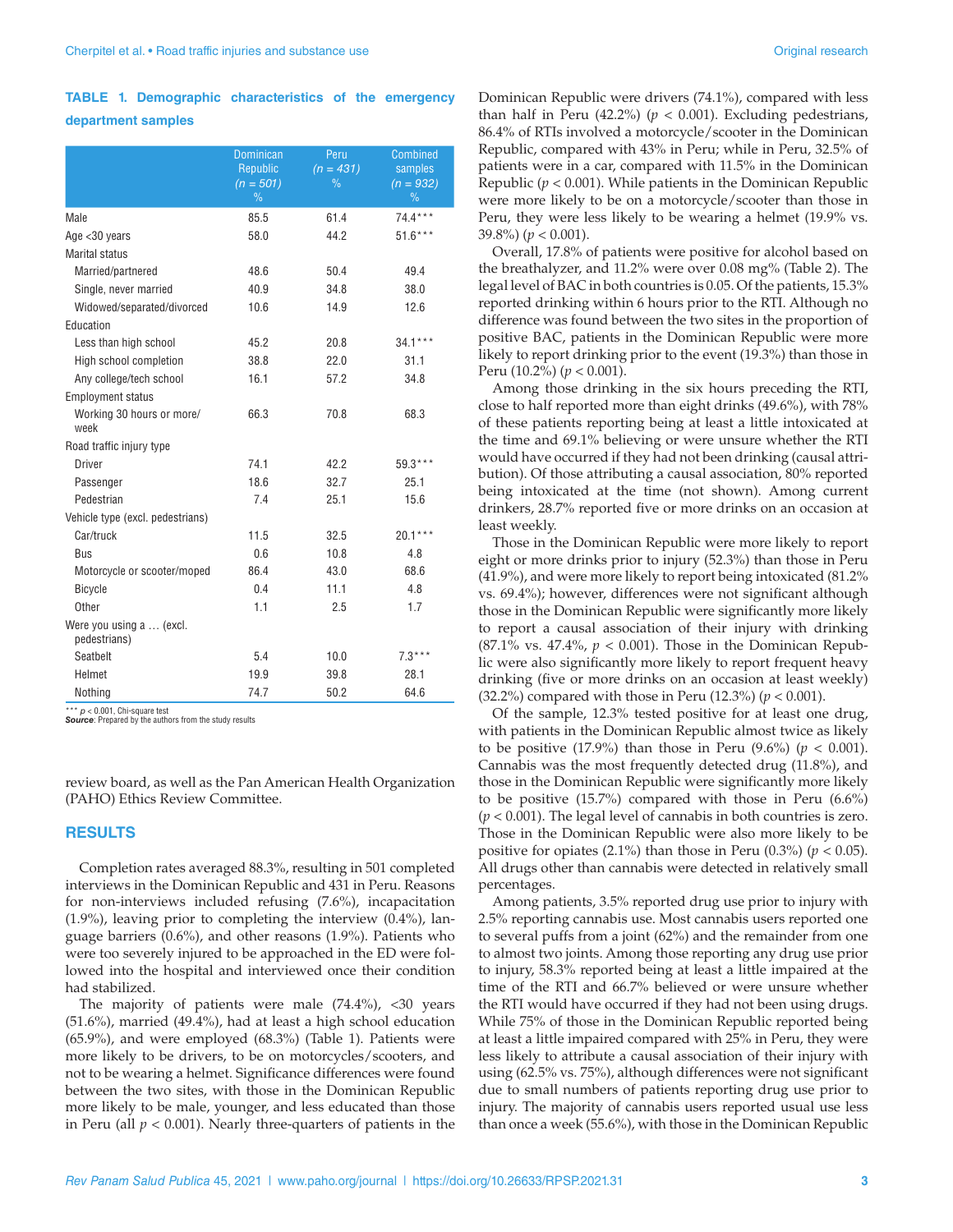# **TABLE 1. Demographic characteristics of the emergency department samples**

|                                          | <b>Dominican</b><br><b>Republic</b><br>$(n = 501)$<br>$\%$ | Peru<br>$(n = 431)$<br>$\%$ | <b>Combined</b><br>samples<br>$(n = 932)$<br>$\frac{9}{6}$ |
|------------------------------------------|------------------------------------------------------------|-----------------------------|------------------------------------------------------------|
| Male                                     | 85.5                                                       | 61.4                        | 74.4***                                                    |
| Age $<$ 30 years                         | 58.0                                                       | 44.2                        | $51.6***$                                                  |
| <b>Marital status</b>                    |                                                            |                             |                                                            |
| Married/partnered                        | 48.6                                                       | 50.4                        | 49.4                                                       |
| Single, never married                    | 40.9                                                       | 34.8                        | 38.0                                                       |
| Widowed/separated/divorced               | 10.6                                                       | 14.9                        | 12.6                                                       |
| Education                                |                                                            |                             |                                                            |
| Less than high school                    | 45.2                                                       | 20.8                        | $34.1***$                                                  |
| High school completion                   | 38.8                                                       | 22.0                        | 31.1                                                       |
| Any college/tech school                  | 16.1                                                       | 57.2                        | 34.8                                                       |
| <b>Employment status</b>                 |                                                            |                             |                                                            |
| Working 30 hours or more/<br>week        | 66.3                                                       | 70.8                        | 68.3                                                       |
| Road traffic injury type                 |                                                            |                             |                                                            |
| <b>Driver</b>                            | 74.1                                                       | 42.2                        | $59.3***$                                                  |
| Passenger                                | 18.6                                                       | 32.7                        | 25.1                                                       |
| Pedestrian                               | 7.4                                                        | 25.1                        | 15.6                                                       |
| Vehicle type (excl. pedestrians)         |                                                            |                             |                                                            |
| Car/truck                                | 11.5                                                       | 32.5                        | $20.1***$                                                  |
| Bus                                      | 0.6                                                        | 10.8                        | 4.8                                                        |
| Motorcycle or scooter/moped              | 86.4                                                       | 43.0                        | 68.6                                                       |
| <b>Bicycle</b>                           | 0.4                                                        | 11.1                        | 4.8                                                        |
| Other                                    | 1.1                                                        | 2.5                         | 1.7                                                        |
| Were you using a  (excl.<br>pedestrians) |                                                            |                             |                                                            |
| Seatbelt                                 | 5.4                                                        | 10.0                        | $7.3***$                                                   |
| Helmet                                   | 19.9                                                       | 39.8                        | 28.1                                                       |
| Nothing                                  | 74.7                                                       | 50.2                        | 64.6                                                       |

\*\*\* *p* < 0.001, Chi-square test *Source*: Prepared by the authors from the study results

review board, as well as the Pan American Health Organization (PAHO) Ethics Review Committee.

#### **RESULTS**

Completion rates averaged 88.3%, resulting in 501 completed interviews in the Dominican Republic and 431 in Peru. Reasons for non-interviews included refusing (7.6%), incapacitation (1.9%), leaving prior to completing the interview (0.4%), language barriers (0.6%), and other reasons (1.9%). Patients who were too severely injured to be approached in the ED were followed into the hospital and interviewed once their condition had stabilized.

The majority of patients were male  $(74.4\%)$ , <30 years (51.6%), married (49.4%), had at least a high school education (65.9%), and were employed (68.3%) (Table 1). Patients were more likely to be drivers, to be on motorcycles/scooters, and not to be wearing a helmet. Significance differences were found between the two sites, with those in the Dominican Republic more likely to be male, younger, and less educated than those in Peru (all  $p < 0.001$ ). Nearly three-quarters of patients in the

Dominican Republic were drivers (74.1%), compared with less than half in Peru  $(42.2\%)$   $(p < 0.001)$ . Excluding pedestrians, 86.4% of RTIs involved a motorcycle/scooter in the Dominican Republic, compared with 43% in Peru; while in Peru, 32.5% of patients were in a car, compared with 11.5% in the Dominican Republic (*p* < 0.001). While patients in the Dominican Republic were more likely to be on a motorcycle/scooter than those in Peru, they were less likely to be wearing a helmet (19.9% vs. 39.8%) (*p* < 0.001).

Overall, 17.8% of patients were positive for alcohol based on the breathalyzer, and 11.2% were over 0.08 mg% (Table 2). The legal level of BAC in both countries is 0.05. Of the patients, 15.3% reported drinking within 6 hours prior to the RTI. Although no difference was found between the two sites in the proportion of positive BAC, patients in the Dominican Republic were more likely to report drinking prior to the event (19.3%) than those in Peru (10.2%) (*p* < 0.001).

Among those drinking in the six hours preceding the RTI, close to half reported more than eight drinks (49.6%), with 78% of these patients reporting being at least a little intoxicated at the time and 69.1% believing or were unsure whether the RTI would have occurred if they had not been drinking (causal attribution). Of those attributing a causal association, 80% reported being intoxicated at the time (not shown). Among current drinkers, 28.7% reported five or more drinks on an occasion at least weekly.

Those in the Dominican Republic were more likely to report eight or more drinks prior to injury (52.3%) than those in Peru (41.9%), and were more likely to report being intoxicated (81.2% vs. 69.4%); however, differences were not significant although those in the Dominican Republic were significantly more likely to report a causal association of their injury with drinking  $(87.1\% \text{ vs. } 47.4\%, p < 0.001)$ . Those in the Dominican Republic were also significantly more likely to report frequent heavy drinking (five or more drinks on an occasion at least weekly) (32.2%) compared with those in Peru (12.3%) (*p* < 0.001).

Of the sample, 12.3% tested positive for at least one drug, with patients in the Dominican Republic almost twice as likely to be positive  $(17.9\%)$  than those in Peru  $(9.6\%)$   $(p < 0.001)$ . Cannabis was the most frequently detected drug (11.8%), and those in the Dominican Republic were significantly more likely to be positive (15.7%) compared with those in Peru (6.6%) (*p* < 0.001). The legal level of cannabis in both countries is zero. Those in the Dominican Republic were also more likely to be positive for opiates  $(2.1\%)$  than those in Peru  $(0.3\%)$   $(p < 0.05)$ . All drugs other than cannabis were detected in relatively small percentages.

Among patients, 3.5% reported drug use prior to injury with 2.5% reporting cannabis use. Most cannabis users reported one to several puffs from a joint (62%) and the remainder from one to almost two joints. Among those reporting any drug use prior to injury, 58.3% reported being at least a little impaired at the time of the RTI and 66.7% believed or were unsure whether the RTI would have occurred if they had not been using drugs. While 75% of those in the Dominican Republic reported being at least a little impaired compared with 25% in Peru, they were less likely to attribute a causal association of their injury with using (62.5% vs. 75%), although differences were not significant due to small numbers of patients reporting drug use prior to injury. The majority of cannabis users reported usual use less than once a week (55.6%), with those in the Dominican Republic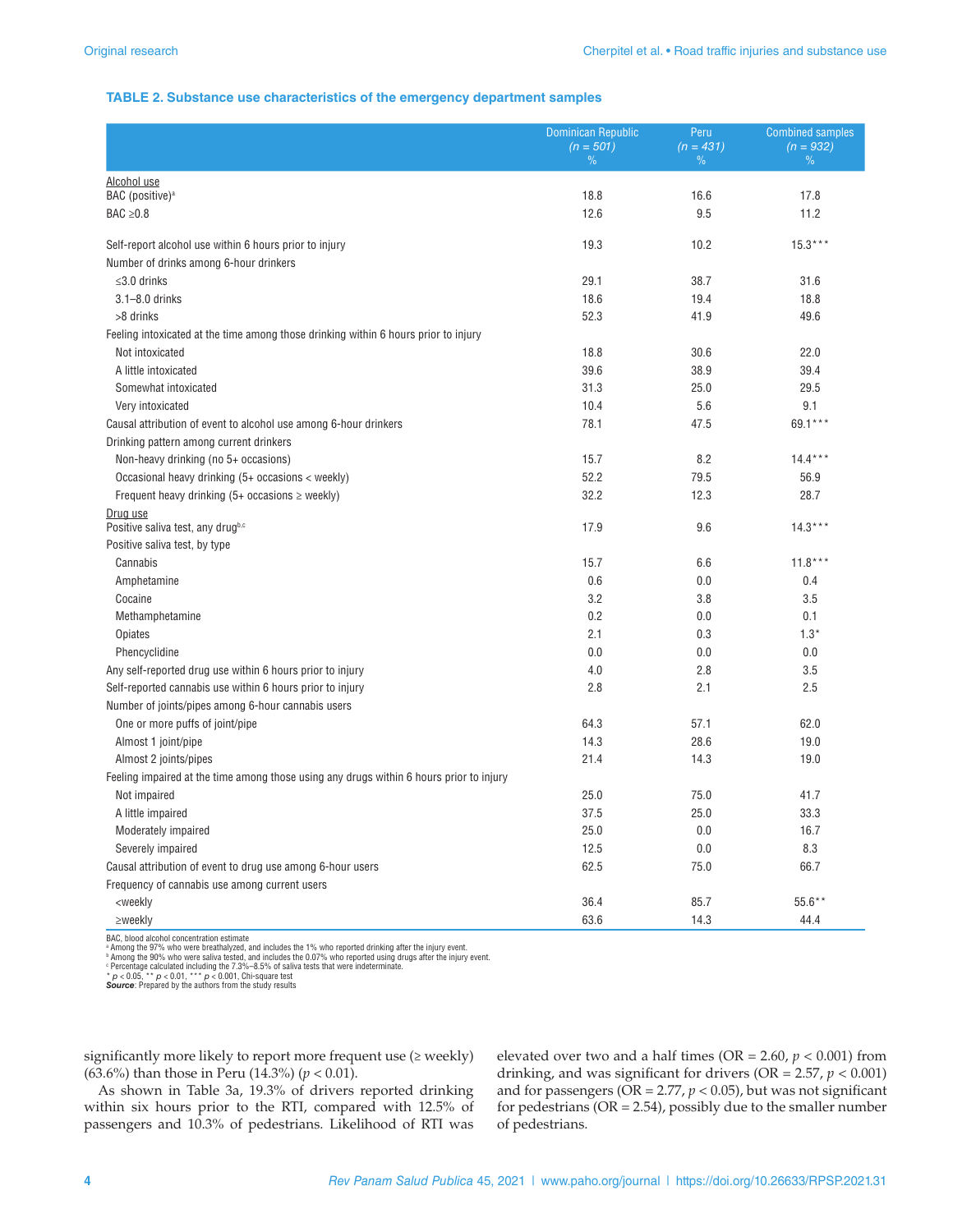#### **TABLE 2. Substance use characteristics of the emergency department samples**

|                                                                                         | <b>Dominican Republic</b> | Peru        | <b>Combined samples</b> |
|-----------------------------------------------------------------------------------------|---------------------------|-------------|-------------------------|
|                                                                                         | $(n = 501)$               | $(n = 431)$ | $(n = 932)$             |
|                                                                                         | $\%$                      | $\%$        | $\%$                    |
| Alcohol use                                                                             |                           |             |                         |
| BAC (positive) <sup>a</sup>                                                             | 18.8                      | 16.6        | 17.8                    |
| BAC $\geq 0.8$                                                                          | 12.6                      | 9.5         | 11.2                    |
| Self-report alcohol use within 6 hours prior to injury                                  | 19.3                      | 10.2        | $15.3***$               |
| Number of drinks among 6-hour drinkers                                                  |                           |             |                         |
| $\leq$ 3.0 drinks                                                                       | 29.1                      | 38.7        | 31.6                    |
| $3.1 - 8.0$ drinks                                                                      | 18.6                      | 19.4        | 18.8                    |
| >8 drinks                                                                               | 52.3                      | 41.9        | 49.6                    |
| Feeling intoxicated at the time among those drinking within 6 hours prior to injury     |                           |             |                         |
| Not intoxicated                                                                         | 18.8                      | 30.6        | 22.0                    |
| A little intoxicated                                                                    | 39.6                      | 38.9        | 39.4                    |
| Somewhat intoxicated                                                                    | 31.3                      | 25.0        | 29.5                    |
| Very intoxicated                                                                        | 10.4                      | 5.6         | 9.1                     |
| Causal attribution of event to alcohol use among 6-hour drinkers                        | 78.1                      | 47.5        | 69.1***                 |
| Drinking pattern among current drinkers                                                 |                           |             |                         |
| Non-heavy drinking (no 5+ occasions)                                                    | 15.7                      | 8.2         | $14.4***$               |
| Occasional heavy drinking $(5+$ occasions < weekly)                                     | 52.2                      | 79.5        | 56.9                    |
| Frequent heavy drinking $(5+$ occasions $\geq$ weekly)                                  | 32.2                      | 12.3        | 28.7                    |
| Drug use                                                                                |                           |             |                         |
| Positive saliva test, any drugb,c                                                       | 17.9                      | 9.6         | $14.3***$               |
| Positive saliva test, by type                                                           |                           |             |                         |
| Cannabis                                                                                | 15.7                      | 6.6         | $11.8***$               |
| Amphetamine                                                                             | 0.6                       | 0.0         | 0.4                     |
| Cocaine                                                                                 | 3.2                       | 3.8         | 3.5                     |
| Methamphetamine                                                                         | 0.2                       | 0.0         | 0.1                     |
| <b>Opiates</b>                                                                          | 2.1                       | 0.3         | $1.3*$                  |
| Phencyclidine                                                                           | 0.0                       | 0.0         | 0.0                     |
| Any self-reported drug use within 6 hours prior to injury                               | 4.0                       | 2.8         | 3.5                     |
| Self-reported cannabis use within 6 hours prior to injury                               | 2.8                       | 2.1         | 2.5                     |
| Number of joints/pipes among 6-hour cannabis users                                      |                           |             |                         |
| One or more puffs of joint/pipe                                                         | 64.3                      | 57.1        | 62.0                    |
| Almost 1 joint/pipe                                                                     | 14.3                      | 28.6        | 19.0                    |
| Almost 2 joints/pipes                                                                   | 21.4                      | 14.3        | 19.0                    |
| Feeling impaired at the time among those using any drugs within 6 hours prior to injury |                           |             |                         |
| Not impaired                                                                            | 25.0                      | 75.0        | 41.7                    |
| A little impaired                                                                       | 37.5                      | 25.0        | 33.3                    |
| Moderately impaired                                                                     | 25.0                      | 0.0         | 16.7                    |
| Severely impaired                                                                       | 12.5                      | 0.0         | 8.3                     |
| Causal attribution of event to drug use among 6-hour users                              | 62.5                      | 75.0        | 66.7                    |
| Frequency of cannabis use among current users                                           |                           |             |                         |
| <weekly< td=""><td>36.4</td><td>85.7</td><td><math>55.6***</math></td></weekly<>        | 36.4                      | 85.7        | $55.6***$               |
| $\ge$ weekly                                                                            | 63.6                      | 14.3        | 44.4                    |

BAC, blood alcohol concentration estimate<br><sup>4</sup> Among the 97% who were breathalyzed, and includes the 1% who reported drinking after the injury event.<br><sup>6</sup> Among the 90% who were saliva tested, and includes the 0.07% who repo

significantly more likely to report more frequent use (≥ weekly) (63.6%) than those in Peru (14.3%) (*p* < 0.01).

As shown in Table 3a, 19.3% of drivers reported drinking within six hours prior to the RTI, compared with 12.5% of passengers and 10.3% of pedestrians. Likelihood of RTI was

elevated over two and a half times (OR = 2.60, *p* < 0.001) from drinking, and was significant for drivers (OR = 2.57, *p* < 0.001) and for passengers ( $OR = 2.77$ ,  $p < 0.05$ ), but was not significant for pedestrians ( $OR = 2.54$ ), possibly due to the smaller number of pedestrians.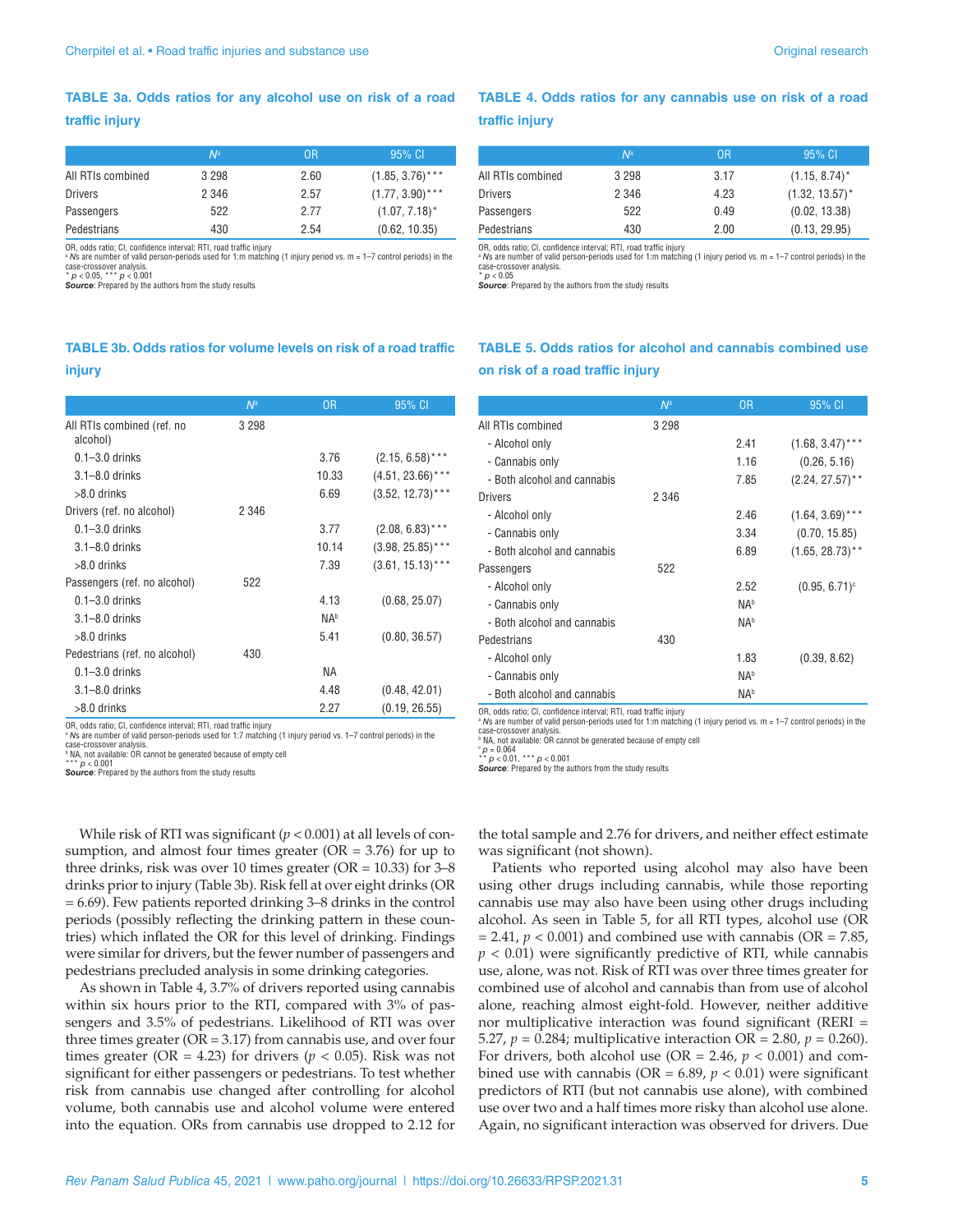# **TABLE 3a. Odds ratios for any alcohol use on risk of a road traffic injury**

|                   | $N^a$   | 0R   | 95% CI             |
|-------------------|---------|------|--------------------|
| All RTIs combined | 3 2 9 8 | 2.60 | $(1.85, 3.76)$ *** |
| <b>Drivers</b>    | 2 3 4 6 | 2.57 | $(1.77, 3.90)$ *** |
| Passengers        | 522     | 277  | $(1.07, 7.18)^*$   |
| Pedestrians       | 430     | 2.54 | (0.62, 10.35)      |

OR, odds ratio; CI, confidence interval; RTI, road traffic injury

\* *N*s are number of valid person-periods used for 1:m matching (1 injury period vs. m = 1–7 control periods) in the<br>case-crossover analysis.<br>\* *p* < 0.05, \* \* *p* < 0.001

**Source:** Prepared by the authors from the study results

# **TABLE 3b. Odds ratios for volume levels on risk of a road traffic**

#### **injury**

|                                        | $N^a$   | 0 <sub>R</sub> | 95% CI              |
|----------------------------------------|---------|----------------|---------------------|
| All RTIs combined (ref. no<br>alcohol) | 3 2 9 8 |                |                     |
| $0.1 - 3.0$ drinks                     |         | 3.76           | $(2.15, 6.58)$ ***  |
| $3.1 - 8.0$ drinks                     |         | 10.33          | $(4.51, 23.66)$ *** |
| $>8.0$ drinks                          |         | 6.69           | $(3.52, 12.73)$ *** |
| Drivers (ref. no alcohol)              | 2 3 4 6 |                |                     |
| $0.1 - 3.0$ drinks                     |         | 3.77           | $(2.08, 6.83)$ ***  |
| $3.1 - 8.0$ drinks                     |         | 10.14          | $(3.98, 25.85)$ *** |
| $>8.0$ drinks                          |         | 7.39           | $(3.61, 15.13)$ *** |
| Passengers (ref. no alcohol)           | 522     |                |                     |
| $0.1 - 3.0$ drinks                     |         | 4.13           | (0.68, 25.07)       |
| $3.1 - 8.0$ drinks                     |         | <b>NAb</b>     |                     |
| $>8.0$ drinks                          |         | 5.41           | (0.80, 36.57)       |
| Pedestrians (ref. no alcohol)          | 430     |                |                     |
| $0.1 - 3.0$ drinks                     |         | NА             |                     |
| $3.1 - 8.0$ drinks                     |         | 4.48           | (0.48, 42.01)       |
| $>8.0$ drinks                          |         | 2.27           | (0.19, 26.55)       |

OR, odds ratio; CI, confidence interval; RTI, road traffic injury<br>ª *N*s are number of valid person-periods used for 1:7 matching (1 injury period vs. 1–7 control periods) in the

case-crossover analysis.

b NA, not available: OR cannot be generated because of empty cell

\*\*\* *p* < 0.001 *Source*: Prepared by the authors from the study results

While risk of RTI was significant (*p* < 0.001) at all levels of consumption, and almost four times greater ( $OR = 3.76$ ) for up to three drinks, risk was over 10 times greater ( $OR = 10.33$ ) for 3–8 drinks prior to injury (Table 3b). Risk fell at over eight drinks (OR = 6.69). Few patients reported drinking 3–8 drinks in the control periods (possibly reflecting the drinking pattern in these countries) which inflated the OR for this level of drinking. Findings were similar for drivers, but the fewer number of passengers and pedestrians precluded analysis in some drinking categories.

As shown in Table 4, 3.7% of drivers reported using cannabis within six hours prior to the RTI, compared with 3% of passengers and 3.5% of pedestrians. Likelihood of RTI was over three times greater ( $OR = 3.17$ ) from cannabis use, and over four times greater (OR = 4.23) for drivers ( $p < 0.05$ ). Risk was not significant for either passengers or pedestrians. To test whether risk from cannabis use changed after controlling for alcohol volume, both cannabis use and alcohol volume were entered into the equation. ORs from cannabis use dropped to 2.12 for

# **TABLE 4. Odds ratios for any cannabis use on risk of a road traffic injury**

|                   | $N^{\rm a}$ | 0R   | 95% CI            |
|-------------------|-------------|------|-------------------|
| All RTIs combined | 3 2 9 8     | 3.17 | $(1.15, 8.74)^*$  |
| <b>Drivers</b>    | 2 3 4 6     | 4.23 | $(1.32, 13.57)^*$ |
| Passengers        | 522         | 0.49 | (0.02, 13.38)     |
| Pedestrians       | 430         | 2.00 | (0.13, 29.95)     |

OR, odds ratio; CI, confidence interval; RTI, road traffic injury<br>ª *N*s are number of valid person-periods used for 1:m matching (1 injury period vs. m = 1–7 control periods) in the

case-crossover analysis.  $case-cross  
\n*  $p < 0.05$$ 

*Source:* Prepared by the authors from the study results

# **TABLE 5. Odds ratios for alcohol and cannabis combined use on risk of a road traffic injury**

|                             | $N^a$   | 0 <sub>R</sub>         | 95% CI                      |
|-----------------------------|---------|------------------------|-----------------------------|
| All RTIs combined           | 3 2 9 8 |                        |                             |
| - Alcohol only              |         | 2.41                   | $(1.68, 3.47)$ ***          |
| - Cannabis only             |         | 1.16                   | (0.26, 5.16)                |
| - Both alcohol and cannabis |         | 7.85                   | $(2.24, 27.57)$ **          |
| <b>Drivers</b>              | 2 3 4 6 |                        |                             |
| - Alcohol only              |         | 2.46                   | $(1.64, 3.69)$ ***          |
| - Cannabis only             |         | 3.34                   | (0.70, 15.85)               |
| - Both alcohol and cannabis |         | 6.89                   | $(1.65, 28.73)$ **          |
| Passengers                  | 522     |                        |                             |
| - Alcohol only              |         | 2.52                   | $(0.95, 6.71)$ <sup>c</sup> |
| - Cannabis only             |         | <b>NA</b> <sup>b</sup> |                             |
| - Both alcohol and cannabis |         | <b>NAb</b>             |                             |
| Pedestrians                 | 430     |                        |                             |
| - Alcohol only              |         | 1.83                   | (0.39, 8.62)                |
| - Cannabis only             |         | <b>NAb</b>             |                             |
| - Both alcohol and cannabis |         | NA <sup>b</sup>        |                             |

OR, odds ratio; CI, confidence interval; RTI, road traffic injury<br>ª *N*s are number of valid person-periods used for 1:m matching (1 injury period vs. m = 1–7 control periods) in the case-crossover analysis. b NA, not available: OR cannot be generated because of empty cell

 $^{c}$  *p* = 0.064

\*\* *p* < 0.01, \*\*\* *p* < 0.001 *Source*: Prepared by the authors from the study results

the total sample and 2.76 for drivers, and neither effect estimate was significant (not shown).

Patients who reported using alcohol may also have been using other drugs including cannabis, while those reporting cannabis use may also have been using other drugs including alcohol. As seen in Table 5, for all RTI types, alcohol use (OR  $= 2.41$ ,  $p < 0.001$ ) and combined use with cannabis (OR  $= 7.85$ ,  $p < 0.01$ ) were significantly predictive of RTI, while cannabis use, alone, was not. Risk of RTI was over three times greater for combined use of alcohol and cannabis than from use of alcohol alone, reaching almost eight-fold. However, neither additive nor multiplicative interaction was found significant (RERI = 5.27,  $p = 0.284$ ; multiplicative interaction OR = 2.80,  $p = 0.260$ ). For drivers, both alcohol use (OR = 2.46,  $p < 0.001$ ) and combined use with cannabis ( $OR = 6.89$ ,  $p < 0.01$ ) were significant predictors of RTI (but not cannabis use alone), with combined use over two and a half times more risky than alcohol use alone. Again, no significant interaction was observed for drivers. Due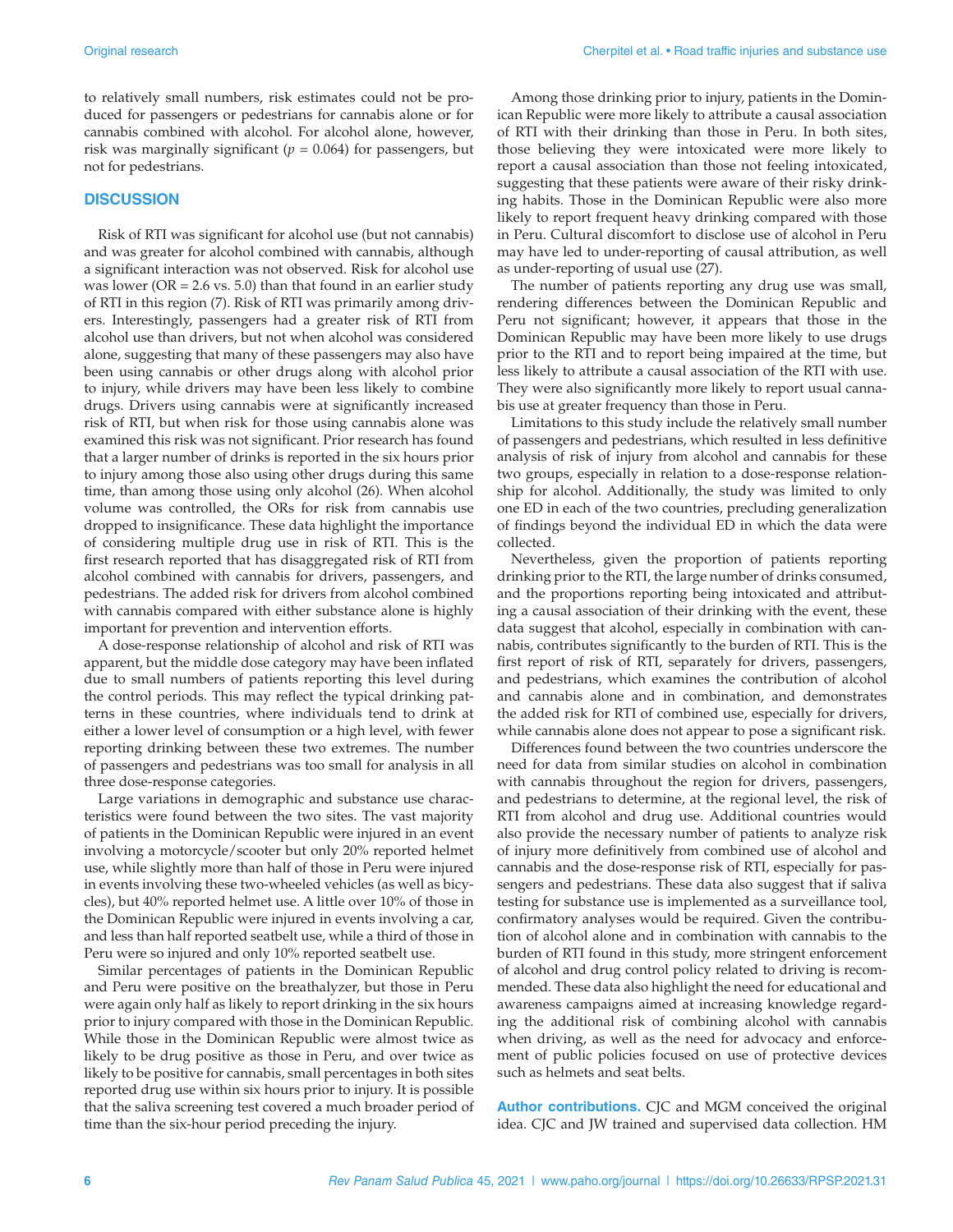to relatively small numbers, risk estimates could not be produced for passengers or pedestrians for cannabis alone or for cannabis combined with alcohol. For alcohol alone, however, risk was marginally significant ( $p = 0.064$ ) for passengers, but not for pedestrians.

### **DISCUSSION**

Risk of RTI was significant for alcohol use (but not cannabis) and was greater for alcohol combined with cannabis, although a significant interaction was not observed. Risk for alcohol use was lower ( $OR = 2.6$  vs. 5.0) than that found in an earlier study of RTI in this region (7). Risk of RTI was primarily among drivers. Interestingly, passengers had a greater risk of RTI from alcohol use than drivers, but not when alcohol was considered alone, suggesting that many of these passengers may also have been using cannabis or other drugs along with alcohol prior to injury, while drivers may have been less likely to combine drugs. Drivers using cannabis were at significantly increased risk of RTI, but when risk for those using cannabis alone was examined this risk was not significant. Prior research has found that a larger number of drinks is reported in the six hours prior to injury among those also using other drugs during this same time, than among those using only alcohol (26). When alcohol volume was controlled, the ORs for risk from cannabis use dropped to insignificance. These data highlight the importance of considering multiple drug use in risk of RTI. This is the first research reported that has disaggregated risk of RTI from alcohol combined with cannabis for drivers, passengers, and pedestrians. The added risk for drivers from alcohol combined with cannabis compared with either substance alone is highly important for prevention and intervention efforts.

A dose-response relationship of alcohol and risk of RTI was apparent, but the middle dose category may have been inflated due to small numbers of patients reporting this level during the control periods. This may reflect the typical drinking patterns in these countries, where individuals tend to drink at either a lower level of consumption or a high level, with fewer reporting drinking between these two extremes. The number of passengers and pedestrians was too small for analysis in all three dose-response categories.

Large variations in demographic and substance use characteristics were found between the two sites. The vast majority of patients in the Dominican Republic were injured in an event involving a motorcycle/scooter but only 20% reported helmet use, while slightly more than half of those in Peru were injured in events involving these two-wheeled vehicles (as well as bicycles), but 40% reported helmet use. A little over 10% of those in the Dominican Republic were injured in events involving a car, and less than half reported seatbelt use, while a third of those in Peru were so injured and only 10% reported seatbelt use.

Similar percentages of patients in the Dominican Republic and Peru were positive on the breathalyzer, but those in Peru were again only half as likely to report drinking in the six hours prior to injury compared with those in the Dominican Republic. While those in the Dominican Republic were almost twice as likely to be drug positive as those in Peru, and over twice as likely to be positive for cannabis, small percentages in both sites reported drug use within six hours prior to injury. It is possible that the saliva screening test covered a much broader period of time than the six-hour period preceding the injury.

Among those drinking prior to injury, patients in the Dominican Republic were more likely to attribute a causal association of RTI with their drinking than those in Peru. In both sites, those believing they were intoxicated were more likely to report a causal association than those not feeling intoxicated, suggesting that these patients were aware of their risky drinking habits. Those in the Dominican Republic were also more likely to report frequent heavy drinking compared with those in Peru. Cultural discomfort to disclose use of alcohol in Peru may have led to under-reporting of causal attribution, as well as under-reporting of usual use (27).

The number of patients reporting any drug use was small, rendering differences between the Dominican Republic and Peru not significant; however, it appears that those in the Dominican Republic may have been more likely to use drugs prior to the RTI and to report being impaired at the time, but less likely to attribute a causal association of the RTI with use. They were also significantly more likely to report usual cannabis use at greater frequency than those in Peru.

Limitations to this study include the relatively small number of passengers and pedestrians, which resulted in less definitive analysis of risk of injury from alcohol and cannabis for these two groups, especially in relation to a dose-response relationship for alcohol. Additionally, the study was limited to only one ED in each of the two countries, precluding generalization of findings beyond the individual ED in which the data were collected.

Nevertheless, given the proportion of patients reporting drinking prior to the RTI, the large number of drinks consumed, and the proportions reporting being intoxicated and attributing a causal association of their drinking with the event, these data suggest that alcohol, especially in combination with cannabis, contributes significantly to the burden of RTI. This is the first report of risk of RTI, separately for drivers, passengers, and pedestrians, which examines the contribution of alcohol and cannabis alone and in combination, and demonstrates the added risk for RTI of combined use, especially for drivers, while cannabis alone does not appear to pose a significant risk.

Differences found between the two countries underscore the need for data from similar studies on alcohol in combination with cannabis throughout the region for drivers, passengers, and pedestrians to determine, at the regional level, the risk of RTI from alcohol and drug use. Additional countries would also provide the necessary number of patients to analyze risk of injury more definitively from combined use of alcohol and cannabis and the dose-response risk of RTI, especially for passengers and pedestrians. These data also suggest that if saliva testing for substance use is implemented as a surveillance tool, confirmatory analyses would be required. Given the contribution of alcohol alone and in combination with cannabis to the burden of RTI found in this study, more stringent enforcement of alcohol and drug control policy related to driving is recommended. These data also highlight the need for educational and awareness campaigns aimed at increasing knowledge regarding the additional risk of combining alcohol with cannabis when driving, as well as the need for advocacy and enforcement of public policies focused on use of protective devices such as helmets and seat belts.

**Author contributions.** CJC and MGM conceived the original idea. CJC and JW trained and supervised data collection. HM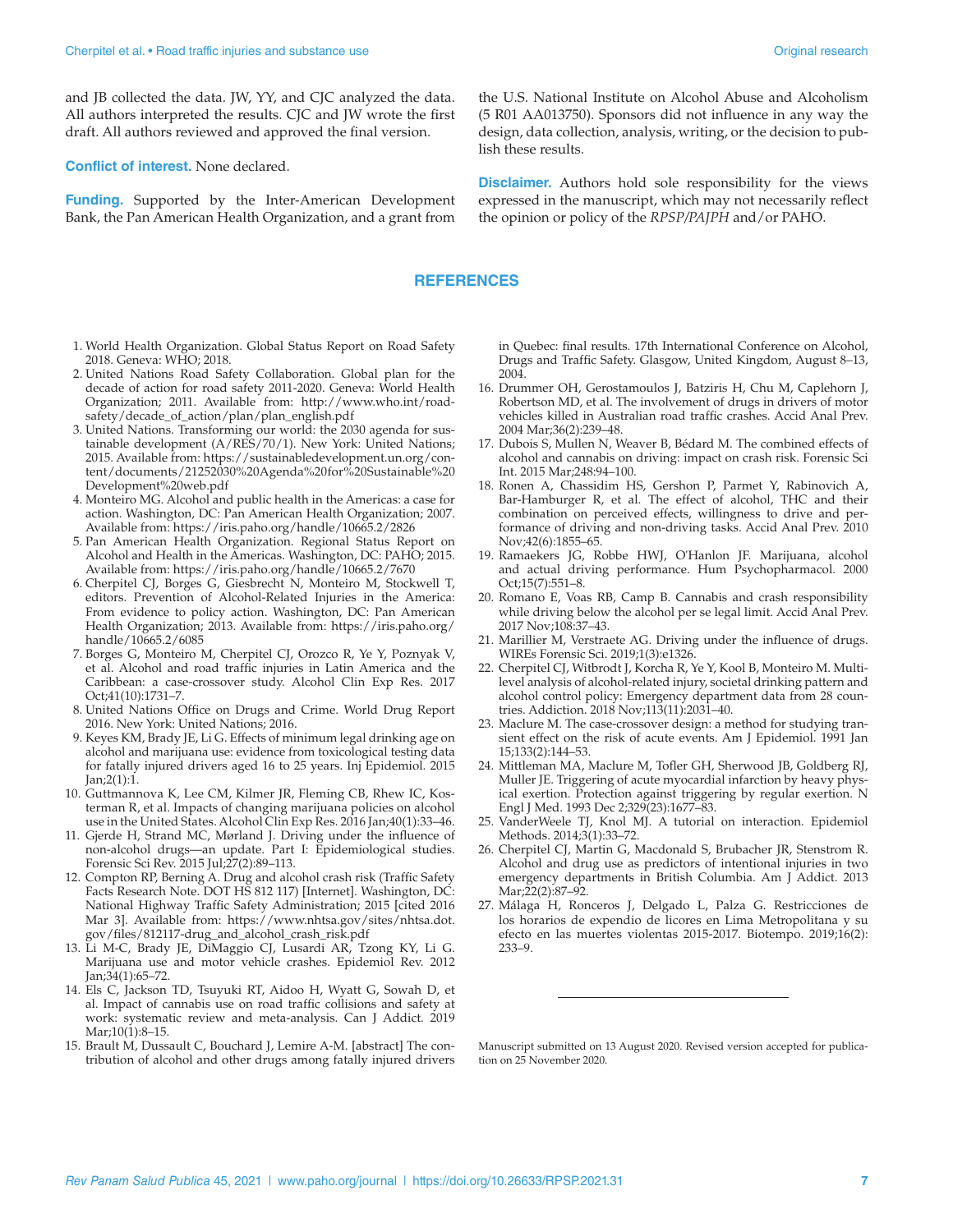and JB collected the data. JW, YY, and CJC analyzed the data. All authors interpreted the results. CJC and JW wrote the first draft. All authors reviewed and approved the final version.

**Conflict of interest.** None declared.

**Funding.** Supported by the Inter-American Development Bank, the Pan American Health Organization, and a grant from

- 1. World Health Organization. Global Status Report on Road Safety 2018. Geneva: WHO; 2018.
- 2. United Nations Road Safety Collaboration. Global plan for the decade of action for road safety 2011-2020. Geneva: World Health Organization; 2011. Available from: [http://www.who.int/road](http://www.who.int/roadsafety/decade_of_action/plan/plan_english.pdf)[safety/decade\\_of\\_action/plan/plan\\_english.pdf](http://www.who.int/roadsafety/decade_of_action/plan/plan_english.pdf)
- 3. United Nations. Transforming our world: the 2030 agenda for sustainable development (A/RES/70/1). New York: United Nations; 2015. Available from: [https://sustainabledevelopment.un.org/con](https://sustainabledevelopment.un.org/content/documents/21252030%20Agenda%20for%20Sustainable%20Development%20web.pdf)[tent/documents/21252030%20Agenda%20for%20Sustainable%20](https://sustainabledevelopment.un.org/content/documents/21252030%20Agenda%20for%20Sustainable%20Development%20web.pdf) [Development%20web.pdf](https://sustainabledevelopment.un.org/content/documents/21252030%20Agenda%20for%20Sustainable%20Development%20web.pdf)
- 4. Monteiro MG. Alcohol and public health in the Americas: a case for action. Washington, DC: Pan American Health Organization; 2007. Available from:<https://iris.paho.org/handle/10665.2/2826>
- 5. Pan American Health Organization. Regional Status Report on Alcohol and Health in the Americas. Washington, DC: PAHO; 2015. Available from:<https://iris.paho.org/handle/10665.2/7670>
- 6. Cherpitel CJ, Borges G, Giesbrecht N, Monteiro M, Stockwell T, editors. Prevention of Alcohol-Related Injuries in the America: From evidence to policy action. Washington, DC: Pan American Health Organization; 2013. Available from: [https://iris.paho.org/](https://iris.paho.org/handle/10665.2/6085) [handle/10665.2/6085](https://iris.paho.org/handle/10665.2/6085)
- 7. Borges G, Monteiro M, Cherpitel CJ, Orozco R, Ye Y, Poznyak V, et al. Alcohol and road traffic injuries in Latin America and the Caribbean: a case-crossover study. Alcohol Clin Exp Res. 2017 Oct;41(10):1731–7.
- 8. United Nations Office on Drugs and Crime. World Drug Report 2016. New York: United Nations; 2016.
- 9. Keyes KM, Brady JE, Li G. Effects of minimum legal drinking age on alcohol and marijuana use: evidence from toxicological testing data for fatally injured drivers aged 16 to 25 years. Inj Epidemiol. 2015 Jan;2(1):1.
- 10. Guttmannova K, Lee CM, Kilmer JR, Fleming CB, Rhew IC, Kosterman R, et al. Impacts of changing marijuana policies on alcohol use in the United States. Alcohol Clin Exp Res. 2016 Jan;40(1):33–46.
- 11. Gjerde H, Strand MC, Mørland J. Driving under the influence of non-alcohol drugs—an update. Part I: Epidemiological studies. Forensic Sci Rev. 2015 Jul;27(2):89–113.
- 12. Compton RP, Berning A. Drug and alcohol crash risk (Traffic Safety Facts Research Note. DOT HS 812 117) [Internet]. Washington, DC: National Highway Traffic Safety Administration; 2015 [cited 2016 Mar 3]. Available from: [https://www.nhtsa.gov/sites/nhtsa.dot.](https://www.nhtsa.gov/sites/nhtsa.dot.gov/files/812117-drug_and_alcohol_crash_risk.pdf) [gov/files/812117-drug\\_and\\_alcohol\\_crash\\_risk.pdf](https://www.nhtsa.gov/sites/nhtsa.dot.gov/files/812117-drug_and_alcohol_crash_risk.pdf)
- 13. Li M-C, Brady JE, DiMaggio CJ, Lusardi AR, Tzong KY, Li G. Marijuana use and motor vehicle crashes. Epidemiol Rev. 2012 Jan;34(1):65–72.
- 14. Els C, Jackson TD, Tsuyuki RT, Aidoo H, Wyatt G, Sowah D, et al. Impact of cannabis use on road traffic collisions and safety at work: systematic review and meta-analysis. Can J Addict. 2019 Mar;10(1):8–15.
- 15. Brault M, Dussault C, Bouchard J, Lemire A-M. [abstract] The contribution of alcohol and other drugs among fatally injured drivers

the U.S. National Institute on Alcohol Abuse and Alcoholism (5 R01 AA013750). Sponsors did not influence in any way the design, data collection, analysis, writing, or the decision to publish these results.

**Disclaimer.** Authors hold sole responsibility for the views expressed in the manuscript, which may not necessarily reflect the opinion or policy of the *RPSP/PAJPH* and/or PAHO.

# **REFERENCES**

in Quebec: final results. 17th International Conference on Alcohol, Drugs and Traffic Safety. Glasgow, United Kingdom, August 8–13, 2004.

- 16. Drummer OH, Gerostamoulos J, Batziris H, Chu M, Caplehorn J, Robertson MD, et al. The involvement of drugs in drivers of motor vehicles killed in Australian road traffic crashes. Accid Anal Prev. 2004 Mar;36(2):239–48.
- 17. Dubois S, Mullen N, Weaver B, Bédard M. The combined effects of alcohol and cannabis on driving: impact on crash risk. Forensic Sci Int. 2015 Mar;248:94–100.
- 18. Ronen A, Chassidim HS, Gershon P, Parmet Y, Rabinovich A, Bar-Hamburger R, et al. The effect of alcohol, THC and their combination on perceived effects, willingness to drive and performance of driving and non-driving tasks. Accid Anal Prev. 2010 Nov;42(6):1855–65.
- 19. Ramaekers JG, Robbe HWJ, O'Hanlon JF. Marijuana, alcohol and actual driving performance. Hum Psychopharmacol. 2000 Oct;15(7):551–8.
- 20. Romano E, Voas RB, Camp B. Cannabis and crash responsibility while driving below the alcohol per se legal limit. Accid Anal Prev. 2017 Nov;108:37–43.
- 21. Marillier M, Verstraete AG. Driving under the influence of drugs. WIREs Forensic Sci. 2019;1(3):e1326.
- 22. Cherpitel CJ, Witbrodt J, Korcha R, Ye Y, Kool B, Monteiro M. Multilevel analysis of alcohol-related injury, societal drinking pattern and alcohol control policy: Emergency department data from 28 countries. Addiction. 2018 Nov;113(11):2031–40.
- 23. Maclure M. The case-crossover design: a method for studying transient effect on the risk of acute events. Am J Epidemiol. 1991 Jan 15;133(2):144–53.
- 24. Mittleman MA, Maclure M, Tofler GH, Sherwood JB, Goldberg RJ, Muller JE. Triggering of acute myocardial infarction by heavy physical exertion. Protection against triggering by regular exertion. N Engl J Med. 1993 Dec 2;329(23):1677–83.
- 25. VanderWeele TJ, Knol MJ. A tutorial on interaction. Epidemiol Methods. 2014;3(1):33–72.
- 26. Cherpitel CJ, Martin G, Macdonald S, Brubacher JR, Stenstrom R. Alcohol and drug use as predictors of intentional injuries in two emergency departments in British Columbia. Am J Addict. 2013 Mar;22(2):87–92.
- 27. Málaga H, Ronceros J, Delgado L, Palza G. Restricciones de los horarios de expendio de licores en Lima Metropolitana y su efecto en las muertes violentas 2015-2017. Biotempo. 2019;16(2): 233–9.

Manuscript submitted on 13 August 2020. Revised version accepted for publication on 25 November 2020.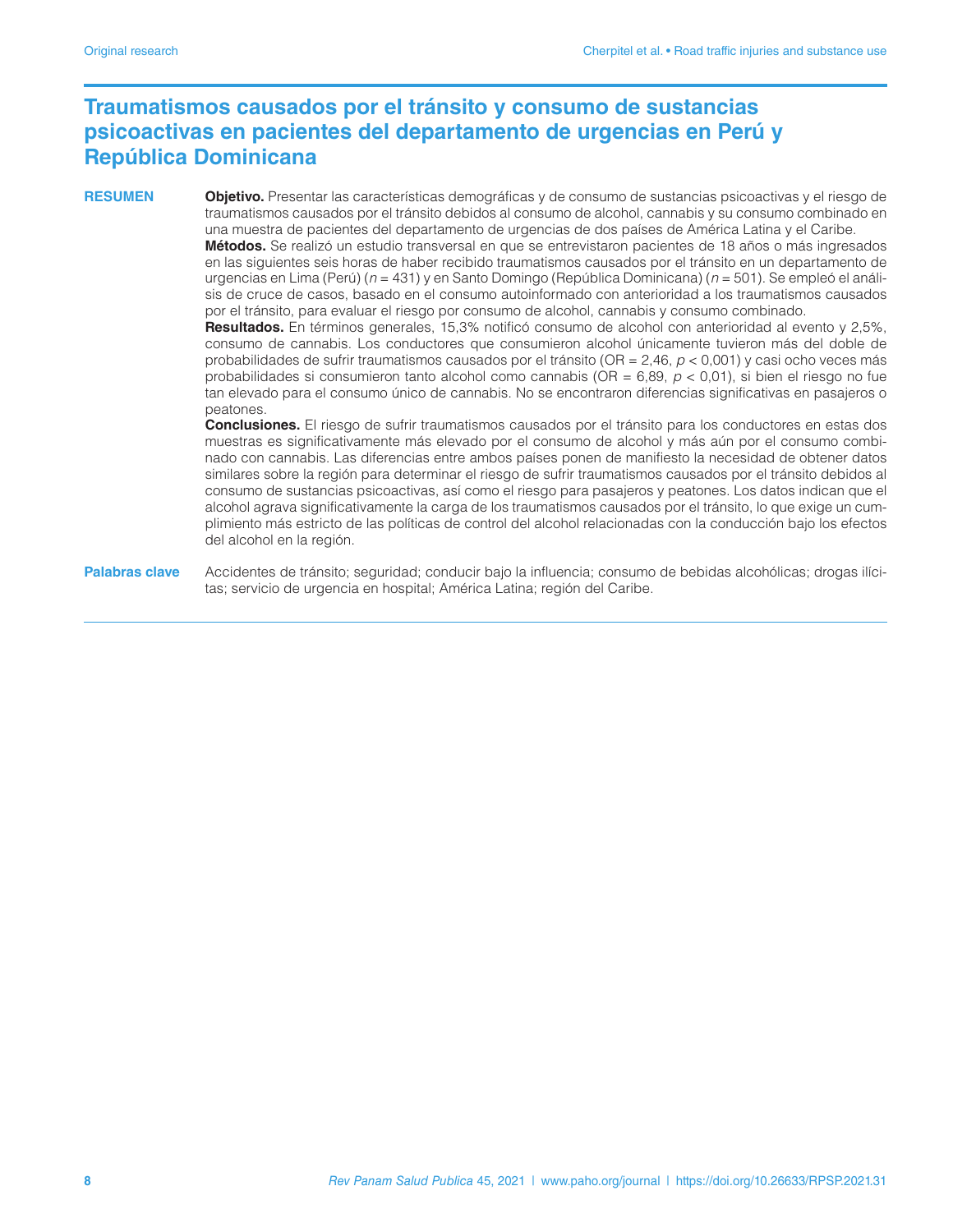# **Traumatismos causados por el tránsito y consumo de sustancias psicoactivas en pacientes del departamento de urgencias en Perú y República Dominicana**

**RESUMEN Objetivo.** Presentar las características demográficas y de consumo de sustancias psicoactivas y el riesgo de traumatismos causados por el tránsito debidos al consumo de alcohol, cannabis y su consumo combinado en una muestra de pacientes del departamento de urgencias de dos países de América Latina y el Caribe.

> **Métodos.** Se realizó un estudio transversal en que se entrevistaron pacientes de 18 años o más ingresados en las siguientes seis horas de haber recibido traumatismos causados por el tránsito en un departamento de urgencias en Lima (Perú) (*n* = 431) y en Santo Domingo (República Dominicana) (*n* = 501). Se empleó el análisis de cruce de casos, basado en el consumo autoinformado con anterioridad a los traumatismos causados por el tránsito, para evaluar el riesgo por consumo de alcohol, cannabis y consumo combinado.

> **Resultados.** En términos generales, 15,3% notificó consumo de alcohol con anterioridad al evento y 2,5%, consumo de cannabis. Los conductores que consumieron alcohol únicamente tuvieron más del doble de probabilidades de sufrir traumatismos causados por el tránsito (OR = 2,46, *p* < 0,001) y casi ocho veces más probabilidades si consumieron tanto alcohol como cannabis (OR = 6,89, *p* < 0,01), si bien el riesgo no fue tan elevado para el consumo único de cannabis. No se encontraron diferencias significativas en pasajeros o peatones.

> **Conclusiones.** El riesgo de sufrir traumatismos causados por el tránsito para los conductores en estas dos muestras es significativamente más elevado por el consumo de alcohol y más aún por el consumo combinado con cannabis. Las diferencias entre ambos países ponen de manifiesto la necesidad de obtener datos similares sobre la región para determinar el riesgo de sufrir traumatismos causados por el tránsito debidos al consumo de sustancias psicoactivas, así como el riesgo para pasajeros y peatones. Los datos indican que el alcohol agrava significativamente la carga de los traumatismos causados por el tránsito, lo que exige un cumplimiento más estricto de las políticas de control del alcohol relacionadas con la conducción bajo los efectos del alcohol en la región.

**Palabras clave** Accidentes de tránsito; seguridad; conducir bajo la influencia; consumo de bebidas alcohólicas; drogas ilícitas; servicio de urgencia en hospital; América Latina; región del Caribe.